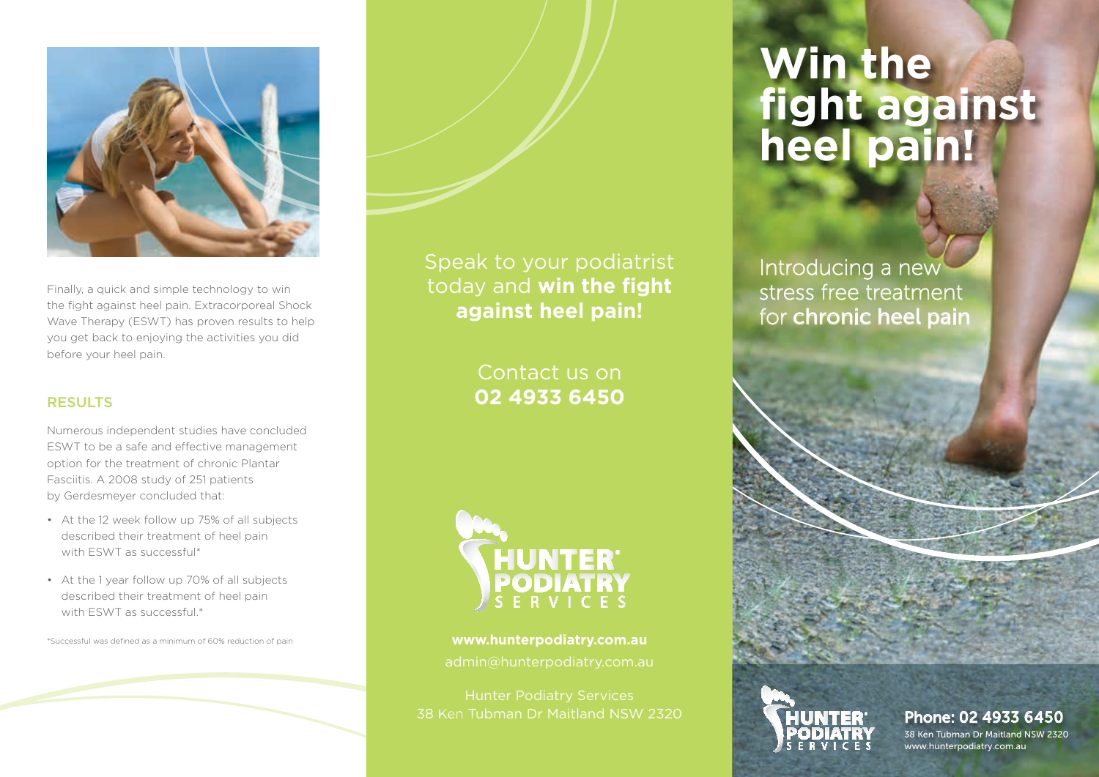

Finally, a quick and simple technology to win the fight against heel pain. Extracorporeal Shock Wave Therapy (ESWT) has proven results to help you get back to enjoying the activities you did before your heel pain.

## **RESULTS**

Numerous independent studies have concluded ESWT to be a safe and effective management option for the treatment of chronic Plantar Fasciitis. A 2008 study of 251 patients by Gerdesmeyer concluded that:

- At the 12 week follow up 75% of all subjects described their treatment of heel pain with ESWT as successful\*
- At the 1 year follow up 70% of all subjects described their treatment of heel pain with FSWT as successful.\*

\*Successful was defined as a minimum of 60% reduction of pain

Speak to your podiatrist today and **win the fight against heel pain!**

> Contact us on **02 4933 6450**



**www.hunterpodiatry.com.au**

Hunter Podiatry Services 38 Ken Tubman Dr Maitland NSW 2320

# **Win the fight against heel pain!**

Introducing a new stress free treatment for chronic heel pain



Phone: 02 4933 6450 38 Ken Tubman Dr Maitland NSW 2320 www.hunterpodiatry.com.au